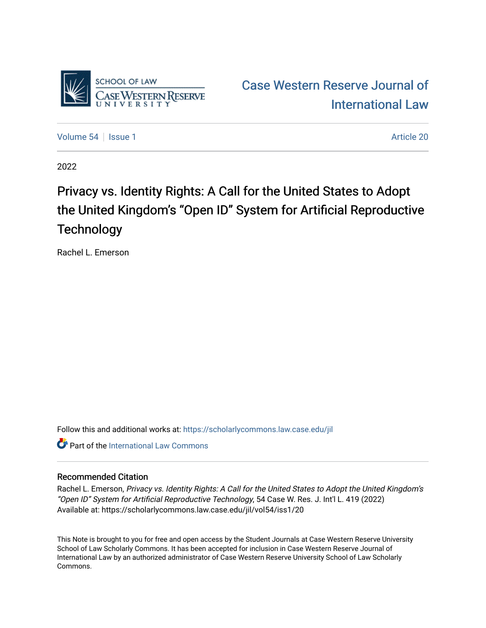

[Case Western Reserve Journal of](https://scholarlycommons.law.case.edu/jil)  [International Law](https://scholarlycommons.law.case.edu/jil) 

[Volume 54](https://scholarlycommons.law.case.edu/jil/vol54) | [Issue 1](https://scholarlycommons.law.case.edu/jil/vol54/iss1) Article 20

2022

## Privacy vs. Identity Rights: A Call for the United States to Adopt the United Kingdom's "Open ID" System for Artificial Reproductive **Technology**

Rachel L. Emerson

Follow this and additional works at: [https://scholarlycommons.law.case.edu/jil](https://scholarlycommons.law.case.edu/jil?utm_source=scholarlycommons.law.case.edu%2Fjil%2Fvol54%2Fiss1%2F20&utm_medium=PDF&utm_campaign=PDFCoverPages) 

**C** Part of the International Law Commons

#### Recommended Citation

Rachel L. Emerson, Privacy vs. Identity Rights: A Call for the United States to Adopt the United Kingdom's "Open ID" System for Artificial Reproductive Technology, 54 Case W. Res. J. Int'l L. 419 (2022) Available at: https://scholarlycommons.law.case.edu/jil/vol54/iss1/20

This Note is brought to you for free and open access by the Student Journals at Case Western Reserve University School of Law Scholarly Commons. It has been accepted for inclusion in Case Western Reserve Journal of International Law by an authorized administrator of Case Western Reserve University School of Law Scholarly Commons.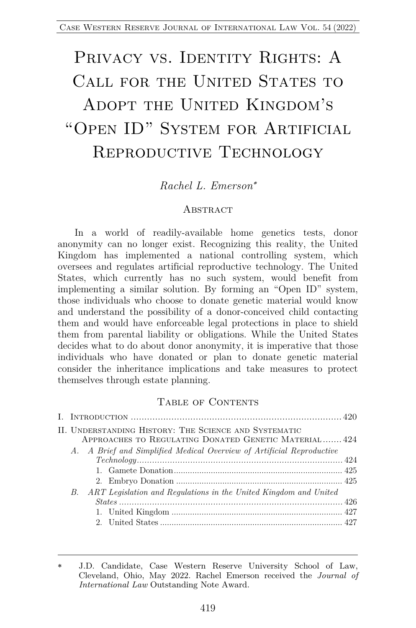# PRIVACY VS. IDENTITY RIGHTS: A CALL FOR THE UNITED STATES TO ADOPT THE UNITED KINGDOM'S "Open ID" System for Artificial REPRODUCTIVE TECHNOLOGY

## *Rachel L. Emerson*\*

#### **ABSTRACT**

In a world of readily-available home genetics tests, donor anonymity can no longer exist. Recognizing this reality, the United Kingdom has implemented a national controlling system, which oversees and regulates artificial reproductive technology. The United States, which currently has no such system, would benefit from implementing a similar solution. By forming an "Open ID" system, those individuals who choose to donate genetic material would know and understand the possibility of a donor-conceived child contacting them and would have enforceable legal protections in place to shield them from parental liability or obligations. While the United States decides what to do about donor anonymity, it is imperative that those individuals who have donated or plan to donate genetic material consider the inheritance implications and take measures to protect themselves through estate planning.

#### TABLE OF CONTENTS

| II. UNDERSTANDING HISTORY: THE SCIENCE AND SYSTEMATIC<br>APPROACHES TO REGULATING DONATED GENETIC MATERIAL 424 |  |
|----------------------------------------------------------------------------------------------------------------|--|
| A. A Brief and Simplified Medical Overview of Artificial Reproductive                                          |  |
|                                                                                                                |  |
| ART Legislation and Regulations in the United Kingdom and United<br>В.                                         |  |
|                                                                                                                |  |
|                                                                                                                |  |

J.D. Candidate, Case Western Reserve University School of Law, Cleveland, Ohio, May 2022. Rachel Emerson received the *Journal of International Law* Outstanding Note Award.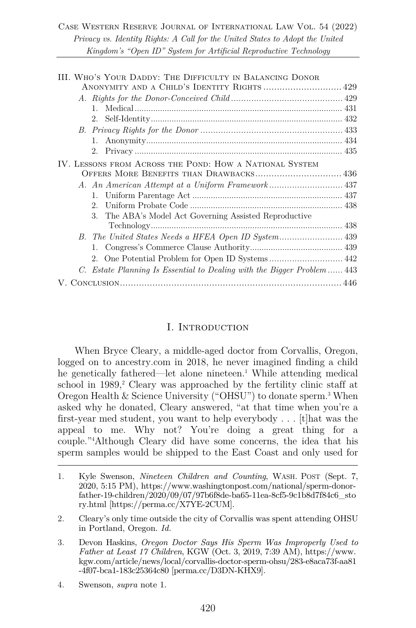#### Case Western Reserve Journal of International Law Vol. 54 (2022) *Privacy vs. Identity Rights: A Call for the United States to Adopt the United Kingdom's "Open ID" System for Artificial Reproductive Technology*

| III. WHO'S YOUR DADDY: THE DIFFICULTY IN BALANCING DONOR               |
|------------------------------------------------------------------------|
|                                                                        |
|                                                                        |
|                                                                        |
|                                                                        |
|                                                                        |
|                                                                        |
|                                                                        |
| IV. LESSONS FROM ACROSS THE POND: HOW A NATIONAL SYSTEM                |
|                                                                        |
|                                                                        |
|                                                                        |
| $2^{\circ}$                                                            |
| 3. The ABA's Model Act Governing Assisted Reproductive                 |
|                                                                        |
|                                                                        |
|                                                                        |
|                                                                        |
| C. Estate Planning Is Essential to Dealing with the Bigger Problem 443 |
|                                                                        |

#### I. INTRODUCTION

When Bryce Cleary, a middle-aged doctor from Corvallis, Oregon, logged on to ancestry.com in 2018, he never imagined finding a child he genetically fathered—let alone nineteen. <sup>1</sup> While attending medical school in 1989,<sup>2</sup> Cleary was approached by the fertility clinic staff at Oregon Health & Science University ("OHSU") to donate sperm.3 When asked why he donated, Cleary answered, "at that time when you're a first-year med student, you want to help everybody . . . [t]hat was the appeal to me. Why not? You're doing a great thing for a couple."4 Although Cleary did have some concerns, the idea that his sperm samples would be shipped to the East Coast and only used for

4. Swenson, *supra* note 1.

<sup>1.</sup> Kyle Swenson, *Nineteen Children and Counting*, WASH. POST (Sept. 7, 2020, 5:15 PM), https://www.washingtonpost.com/national/sperm-donorfather-19-children/2020/09/07/97b6f8de-ba65-11ea-8cf5-9c1b8d7f84c6\_sto ry.html [https://perma.cc/X7YE-2CUM].

<sup>2.</sup> Cleary's only time outside the city of Corvallis was spent attending OHSU in Portland, Oregon. *Id.*

<sup>3.</sup> Devon Haskins, *Oregon Doctor Says His Sperm Was Improperly Used to Father at Least 17 Children*, KGW (Oct. 3, 2019, 7:39 AM), https://www. kgw.com/article/news/local/corvallis-doctor-sperm-ohsu/283-e8aca73f-aa81 -4f07-bca1-183c25364c80 [perma.cc/D3DN-KHX9].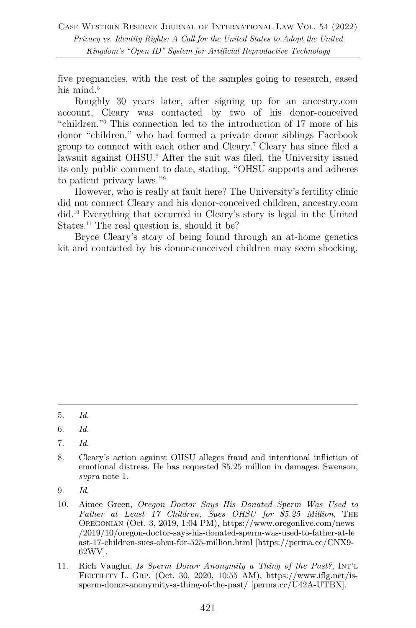five pregnancies, with the rest of the samples going to research, eased his mind.<sup>5</sup>

Roughly 30 years later, after signing up for an ancestry.com account, Cleary was contacted by two of his donor-conceived "children."6 This connection led to the introduction of 17 more of his donor "children," who had formed a private donor siblings Facebook group to connect with each other and Cleary.7 Cleary has since filed a lawsuit against OHSU.<sup>8</sup> After the suit was filed, the University issued its only public comment to date, stating, "OHSU supports and adheres to patient privacy laws."9

However, who is really at fault here? The University's fertility clinic did not connect Cleary and his donor-conceived children, ancestry.com did.10 Everything that occurred in Cleary's story is legal in the United States.<sup>11</sup> The real question is, should it be?

Bryce Cleary's story of being found through an at-home genetics kit and contacted by his donor-conceived children may seem shocking,

7. *Id.*

<sup>5.</sup> *Id.*

<sup>6.</sup> *Id.*

<sup>8.</sup> Cleary's action against OHSU alleges fraud and intentional infliction of emotional distress. He has requested \$5.25 million in damages. Swenson, *supra* note 1.

<sup>9.</sup> *Id.*

<sup>10.</sup> Aimee Green, *Oregon Doctor Says His Donated Sperm Was Used to Father at Least 17 Children, Sues OHSU for \$5.25 Million*, THE OREGONIAN (Oct. 3, 2019, 1:04 PM), https://www.oregonlive.com/news /2019/10/oregon-doctor-says-his-donated-sperm-was-used-to-father-at-le ast-17-children-sues-ohsu-for-525-million.html [https://perma.cc/CNX9- 62WV].

<sup>11.</sup> Rich Vaughn, *Is Sperm Donor Anonymity a Thing of the Past?*, INT'L FERTILITY L. GRP. (Oct. 30, 2020, 10:55 AM), https://www.iflg.net/issperm-donor-anonymity-a-thing-of-the-past/ [perma.cc/U42A-UTBX].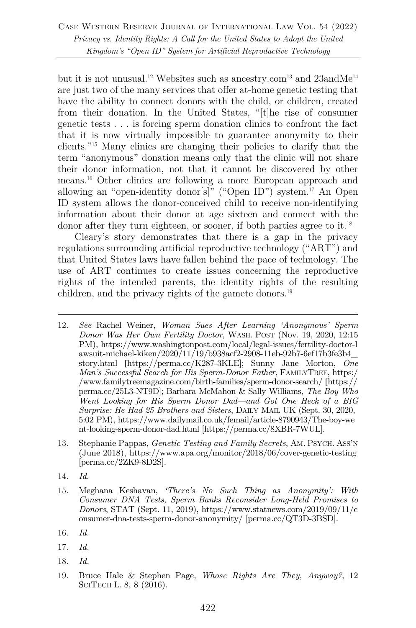but it is not unusual.<sup>12</sup> Websites such as ancestry.com<sup>13</sup> and 23andMe<sup>14</sup> are just two of the many services that offer at-home genetic testing that have the ability to connect donors with the child, or children, created from their donation. In the United States, "[t]he rise of consumer genetic tests . . . is forcing sperm donation clinics to confront the fact that it is now virtually impossible to guarantee anonymity to their clients."15 Many clinics are changing their policies to clarify that the term "anonymous" donation means only that the clinic will not share their donor information, not that it cannot be discovered by other means.16 Other clinics are following a more European approach and allowing an "open-identity donor[s]" ("Open ID") system. <sup>17</sup> An Open ID system allows the donor-conceived child to receive non-identifying information about their donor at age sixteen and connect with the donor after they turn eighteen, or sooner, if both parties agree to it.<sup>18</sup>

Cleary's story demonstrates that there is a gap in the privacy regulations surrounding artificial reproductive technology ("ART") and that United States laws have fallen behind the pace of technology. The use of ART continues to create issues concerning the reproductive rights of the intended parents, the identity rights of the resulting children, and the privacy rights of the gamete donors.<sup>19</sup>

- 12. *See* Rachel Weiner, *Woman Sues After Learning 'Anonymous' Sperm Donor Was Her Own Fertility Doctor*, WASH. POST (Nov. 19, 2020, 12:15 PM), https://www.washingtonpost.com/local/legal-issues/fertility-doctor-l awsuit-michael-kiken/2020/11/19/b938acf2-2908-11eb-92b7-6ef17b3fe3b4\_ story.html [https://perma.cc/K287-3KLE]; Sunny Jane Morton, *One Man's Successful Search for His Sperm-Donor Father*, FAMILYTREE, https:/ /www.familytreemagazine.com/birth-families/sperm-donor-search/ [https:// perma.cc/25L3-NT9D]; Barbara McMahon & Sally Williams, *The Boy Who Went Looking for His Sperm Donor Dad—and Got One Heck of a BIG Surprise: He Had 25 Brothers and Sisters*, DAILY MAIL UK (Sept. 30, 2020, 5:02 PM), https://www.dailymail.co.uk/femail/article-8790943/The-boy-we nt-looking-sperm-donor-dad.html [https://perma.cc/8XBR-7WUL].
- 13. Stephanie Pappas, *Genetic Testing and Family Secrets*, AM. PSYCH. ASS'N (June 2018), https://www.apa.org/monitor/2018/06/cover-genetic-testing [perma.cc/2ZK9-8D2S].
- 14. *Id.*
- 15. Meghana Keshavan, *'There's No Such Thing as Anonymity': With Consumer DNA Tests, Sperm Banks Reconsider Long-Held Promises to Donors*, STAT (Sept. 11, 2019), https://www.statnews.com/2019/09/11/c onsumer-dna-tests-sperm-donor-anonymity/ [perma.cc/QT3D-3BSD].
- 16*. Id.*
- 17. *Id.*
- 18. *Id.*
- 19. Bruce Hale & Stephen Page, *Whose Rights Are They, Anyway?*, 12 SCITECH L. 8, 8 (2016).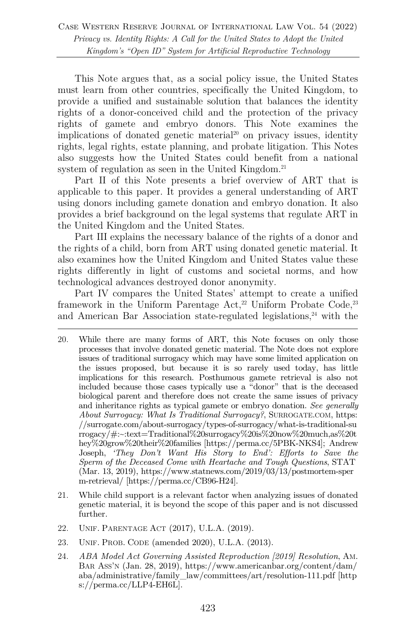This Note argues that, as a social policy issue, the United States must learn from other countries, specifically the United Kingdom, to provide a unified and sustainable solution that balances the identity rights of a donor-conceived child and the protection of the privacy rights of gamete and embryo donors. This Note examines the implications of donated genetic material<sup>20</sup> on privacy issues, identity rights, legal rights, estate planning, and probate litigation. This Notes also suggests how the United States could benefit from a national system of regulation as seen in the United Kingdom.<sup>21</sup>

Part II of this Note presents a brief overview of ART that is applicable to this paper. It provides a general understanding of ART using donors including gamete donation and embryo donation. It also provides a brief background on the legal systems that regulate ART in the United Kingdom and the United States.

Part III explains the necessary balance of the rights of a donor and the rights of a child, born from ART using donated genetic material. It also examines how the United Kingdom and United States value these rights differently in light of customs and societal norms, and how technological advances destroyed donor anonymity.

Part IV compares the United States' attempt to create a unified framework in the Uniform Parentage  $Act<sub>1</sub><sup>22</sup>$  Uniform Probate Code,<sup>23</sup> and American Bar Association state-regulated legislations, $24$  with the

- 20. While there are many forms of ART, this Note focuses on only those processes that involve donated genetic material. The Note does not explore issues of traditional surrogacy which may have some limited application on the issues proposed, but because it is so rarely used today, has little implications for this research. Posthumous gamete retrieval is also not included because those cases typically use a "donor" that is the deceased biological parent and therefore does not create the same issues of privacy and inheritance rights as typical gamete or embryo donation. *See generally About Surrogacy: What Is Traditional Surrogacy?*, SURROGATE.COM, https: //surrogate.com/about-surrogacy/types-of-surrogacy/what-is-traditional-su rrogacy/#:~:text=Traditional%20surrogacy%20is%20now%20much,as%20t hey%20grow%20their%20families [https://perma.cc/5PBK-NKS4]; Andrew Joseph, *'They Don't Want His Story to End': Efforts to Save the Sperm of the Deceased Come with Heartache and Tough Questions*, STAT (Mar. 13, 2019), https://www.statnews.com/2019/03/13/postmortem-sper m-retrieval/ [https://perma.cc/CB96-H24].
- 21. While child support is a relevant factor when analyzing issues of donated genetic material, it is beyond the scope of this paper and is not discussed further.
- 22. UNIF. PARENTAGE ACT (2017), U.L.A. (2019).
- 23. UNIF. PROB. CODE (amended 2020), U.L.A. (2013).
- 24. *ABA Model Act Governing Assisted Reproduction [2019] Resolution*, AM. BAR ASS'N (Jan. 28, 2019), https://www.americanbar.org/content/dam/ aba/administrative/family\_law/committees/art/resolution-111.pdf [http s://perma.cc/LLP4-EH6L].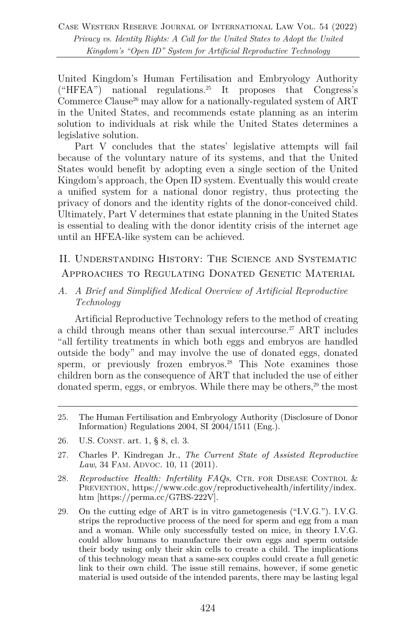United Kingdom's Human Fertilisation and Embryology Authority ("HFEA") national regulations. <sup>25</sup> It proposes that Congress's Commerce Clause<sup>26</sup> may allow for a nationally-regulated system of  $ART$ in the United States, and recommends estate planning as an interim solution to individuals at risk while the United States determines a legislative solution.

Part V concludes that the states' legislative attempts will fail because of the voluntary nature of its systems, and that the United States would benefit by adopting even a single section of the United Kingdom's approach, the Open ID system. Eventually this would create a unified system for a national donor registry, thus protecting the privacy of donors and the identity rights of the donor-conceived child. Ultimately, Part V determines that estate planning in the United States is essential to dealing with the donor identity crisis of the internet age until an HFEA-like system can be achieved.

## II. Understanding History: The Science and Systematic Approaches to Regulating Donated Genetic Material

*A. A Brief and Simplified Medical Overview of Artificial Reproductive Technology*

Artificial Reproductive Technology refers to the method of creating a child through means other than sexual intercourse.<sup>27</sup> ART includes "all fertility treatments in which both eggs and embryos are handled outside the body" and may involve the use of donated eggs, donated sperm, or previously frozen embryos.<sup>28</sup> This Note examines those children born as the consequence of ART that included the use of either donated sperm, eggs, or embryos. While there may be others,<sup>29</sup> the most

- 26. U.S. CONST. art. 1, § 8, cl. 3.
- 27. Charles P. Kindregan Jr., *The Current State of Assisted Reproductive Law*, 34 FAM. ADVOC. 10, 11 (2011).
- 28. *Reproductive Health: Infertility FAQs*, CTR. FOR DISEASE CONTROL & PREVENTION, https://www.cdc.gov/reproductivehealth/infertility/index. htm [https://perma.cc/G7BS-222V].
- 29. On the cutting edge of ART is in vitro gametogenesis ("I.V.G."). I.V.G. strips the reproductive process of the need for sperm and egg from a man and a woman. While only successfully tested on mice, in theory I.V.G. could allow humans to manufacture their own eggs and sperm outside their body using only their skin cells to create a child. The implications of this technology mean that a same-sex couples could create a full genetic link to their own child. The issue still remains, however, if some genetic material is used outside of the intended parents, there may be lasting legal

<sup>25.</sup> The Human Fertilisation and Embryology Authority (Disclosure of Donor Information) Regulations 2004, SI 2004/1511 (Eng.).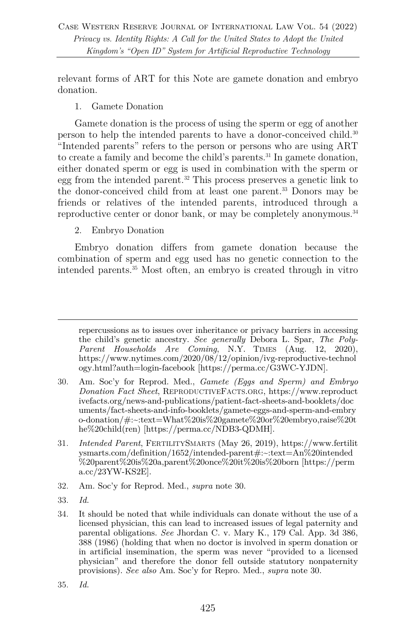relevant forms of ART for this Note are gamete donation and embryo donation.

#### 1. Gamete Donation

Gamete donation is the process of using the sperm or egg of another person to help the intended parents to have a donor-conceived child.30 "Intended parents" refers to the person or persons who are using ART to create a family and become the child's parents.<sup>31</sup> In gamete donation, either donated sperm or egg is used in combination with the sperm or egg from the intended parent.32 This process preserves a genetic link to the donor-conceived child from at least one parent.33 Donors may be friends or relatives of the intended parents, introduced through a reproductive center or donor bank, or may be completely anonymous.<sup>34</sup>

#### 2. Embryo Donation

Embryo donation differs from gamete donation because the combination of sperm and egg used has no genetic connection to the intended parents.35 Most often, an embryo is created through in vitro

- 32. Am. Soc'y for Reprod. Med., *supra* note 30.
- 33. *Id.*

repercussions as to issues over inheritance or privacy barriers in accessing the child's genetic ancestry. *See generally* Debora L. Spar, *The Poly-Parent Households Are Coming*, N.Y. TIMES (Aug. 12, 2020), https://www.nytimes.com/2020/08/12/opinion/ivg-reproductive-technol ogy.html?auth=login-facebook [https://perma.cc/G3WC-YJDN].

<sup>30.</sup> Am. Soc'y for Reprod. Med., *Gamete (Eggs and Sperm) and Embryo Donation Fact Sheet*, REPRODUCTIVEFACTS.ORG, https://www.reproduct ivefacts.org/news-and-publications/patient-fact-sheets-and-booklets/doc uments/fact-sheets-and-info-booklets/gamete-eggs-and-sperm-and-embry o-donation/#:~:text=What%20is%20gamete%20or%20embryo,raise%20t he%20child(ren) [https://perma.cc/NDB3-QDMH].

<sup>31.</sup> *Intended Parent*, FERTILITYSMARTS (May 26, 2019), https://www.fertilit ysmarts.com/definition/1652/intended-parent#:~:text=An%20intended %20parent%20is%20a,parent%20once%20it%20is%20born [https://perm a.cc/23YW-KS2E].

<sup>34.</sup> It should be noted that while individuals can donate without the use of a licensed physician, this can lead to increased issues of legal paternity and parental obligations. *See* Jhordan C. v. Mary K., 179 Cal. App. 3d 386, 388 (1986) (holding that when no doctor is involved in sperm donation or in artificial insemination, the sperm was never "provided to a licensed physician" and therefore the donor fell outside statutory nonpaternity provisions). *See also* Am. Soc'y for Repro. Med., *supra* note 30.

<sup>35.</sup> *Id.*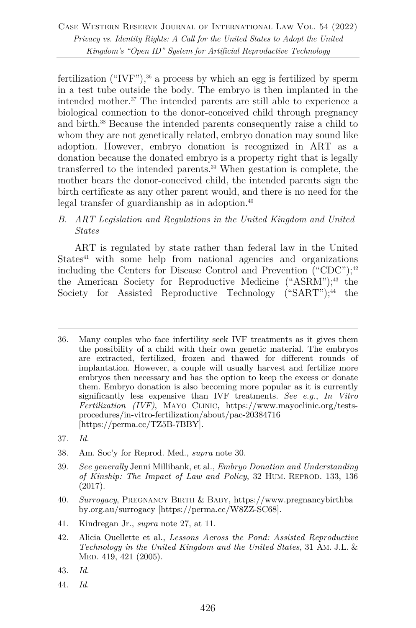fertilization ("IVF"), <sup>36</sup> a process by which an egg is fertilized by sperm in a test tube outside the body. The embryo is then implanted in the intended mother.37 The intended parents are still able to experience a biological connection to the donor-conceived child through pregnancy and birth.38 Because the intended parents consequently raise a child to whom they are not genetically related, embryo donation may sound like adoption. However, embryo donation is recognized in ART as a donation because the donated embryo is a property right that is legally transferred to the intended parents.39 When gestation is complete, the mother bears the donor-conceived child, the intended parents sign the birth certificate as any other parent would, and there is no need for the legal transfer of guardianship as in adoption.40

*B. ART Legislation and Regulations in the United Kingdom and United States*

ART is regulated by state rather than federal law in the United  $States<sup>41</sup>$  with some help from national agencies and organizations including the Centers for Disease Control and Prevention ("CDC");<sup>42</sup> the American Society for Reproductive Medicine ("ASRM"); <sup>43</sup> the Society for Assisted Reproductive Technology ("SART");<sup>44</sup> the

- 38. Am. Soc'y for Reprod. Med., *supra* note 30.
- 39. *See generally* Jenni Millibank, et al., *Embryo Donation and Understanding of Kinship: The Impact of Law and Policy*, 32 HUM. REPROD. 133, 136 (2017).
- 40. *Surrogacy*, PREGNANCY BIRTH & BABY, https://www.pregnancybirthba by.org.au/surrogacy [https://perma.cc/W8ZZ-SC68].
- 41. Kindregan Jr., *supra* note 27, at 11.
- 42. Alicia Ouellette et al., *Lessons Across the Pond: Assisted Reproductive Technology in the United Kingdom and the United States*, 31 AM. J.L. & MED. 419, 421 (2005).
- 43. *Id.*
- 44. *Id.*

<sup>36.</sup> Many couples who face infertility seek IVF treatments as it gives them the possibility of a child with their own genetic material. The embryos are extracted, fertilized, frozen and thawed for different rounds of implantation. However, a couple will usually harvest and fertilize more embryos then necessary and has the option to keep the excess or donate them. Embryo donation is also becoming more popular as it is currently significantly less expensive than IVF treatments. *See e.g.*, *In Vitro Fertilization (IVF)*, MAYO CLINIC, https://www.mayoclinic.org/testsprocedures/in-vitro-fertilization/about/pac-20384716 [https://perma.cc/TZ5B-7BBY].

<sup>37.</sup> *Id.*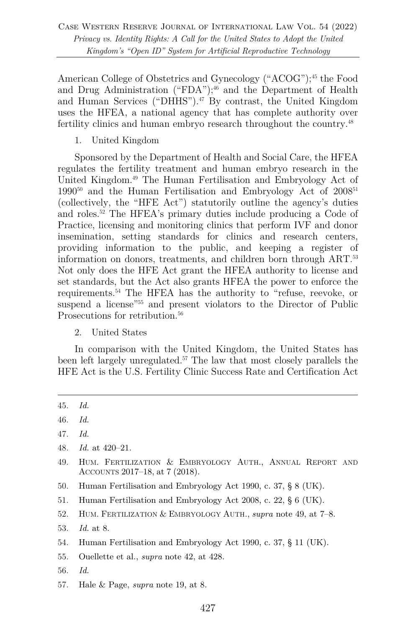American College of Obstetrics and Gynecology ("ACOG"); <sup>45</sup> the Food and Drug Administration ("FDA"); <sup>46</sup> and the Department of Health and Human Services ("DHHS").<sup>47</sup> By contrast, the United Kingdom uses the HFEA, a national agency that has complete authority over fertility clinics and human embryo research throughout the country.<sup>48</sup>

1. United Kingdom

Sponsored by the Department of Health and Social Care, the HFEA regulates the fertility treatment and human embryo research in the United Kingdom.49 The Human Fertilisation and Embryology Act of  $1990^{50}$  and the Human Fertilisation and Embryology Act of  $2008^{51}$ (collectively, the "HFE Act") statutorily outline the agency's duties and roles. <sup>52</sup> The HFEA's primary duties include producing a Code of Practice, licensing and monitoring clinics that perform IVF and donor insemination, setting standards for clinics and research centers, providing information to the public, and keeping a register of information on donors, treatments, and children born through ART.53 Not only does the HFE Act grant the HFEA authority to license and set standards, but the Act also grants HFEA the power to enforce the requirements.54 The HFEA has the authority to "refuse, reevoke, or suspend a license<sup>"55</sup> and present violators to the Director of Public Prosecutions for retribution.<sup>56</sup>

2. United States

In comparison with the United Kingdom, the United States has been left largely unregulated.57 The law that most closely parallels the HFE Act is the U.S. Fertility Clinic Success Rate and Certification Act

- 50. Human Fertilisation and Embryology Act 1990, c. 37, § 8 (UK).
- 51. Human Fertilisation and Embryology Act 2008, c. 22, § 6 (UK).
- 52. HUM. FERTILIZATION & EMBRYOLOGY AUTH., *supra* note 49, at 7–8.
- 53. *Id.* at 8.
- 54. Human Fertilisation and Embryology Act 1990, c. 37, § 11 (UK).
- 55. Ouellette et al., *supra* note 42, at 428.
- 56. *Id.*
- 57. Hale & Page, *supra* note 19, at 8.

<sup>45.</sup> *Id.*

<sup>46.</sup> *Id.*

<sup>47.</sup> *Id.*

<sup>48.</sup> *Id.* at 420–21.

<sup>49.</sup> HUM. FERTILIZATION & EMBRYOLOGY AUTH., ANNUAL REPORT AND ACCOUNTS 2017–18, at 7 (2018).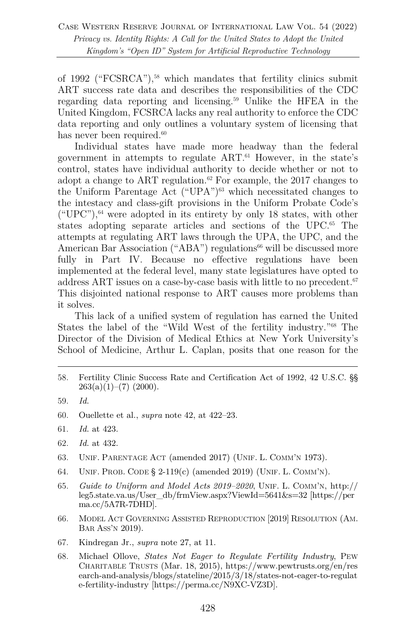of 1992 ("FCSRCA"), <sup>58</sup> which mandates that fertility clinics submit ART success rate data and describes the responsibilities of the CDC regarding data reporting and licensing.59 Unlike the HFEA in the United Kingdom, FCSRCA lacks any real authority to enforce the CDC data reporting and only outlines a voluntary system of licensing that has never been required. $60$ 

Individual states have made more headway than the federal government in attempts to regulate ART.61 However, in the state's control, states have individual authority to decide whether or not to adopt a change to ART regulation. <sup>62</sup> For example, the 2017 changes to the Uniform Parentage Act ("UPA") $63$  which necessitated changes to the intestacy and class-gift provisions in the Uniform Probate Code's  $({}^\omega UPC")$ ,  $^{64}$  were adopted in its entirety by only 18 states, with other states adopting separate articles and sections of the UPC.<sup>65</sup> The attempts at regulating ART laws through the UPA, the UPC, and the American Bar Association ("ABA") regulations<sup>66</sup> will be discussed more fully in Part IV. Because no effective regulations have been implemented at the federal level, many state legislatures have opted to address ART issues on a case-by-case basis with little to no precedent.<sup>67</sup> This disjointed national response to ART causes more problems than it solves.

This lack of a unified system of regulation has earned the United States the label of the "Wild West of the fertility industry."68 The Director of the Division of Medical Ethics at New York University's School of Medicine, Arthur L. Caplan, posits that one reason for the

58. Fertility Clinic Success Rate and Certification Act of 1992, 42 U.S.C. §§  $263(a)(1)–(7)$  (2000).

- 60. Ouellette et al., *supra* note 42, at 422–23.
- 61. *Id.* at 423.
- 62. *Id.* at 432.
- 63. UNIF. PARENTAGE ACT (amended 2017) (UNIF. L. COMM'N 1973).
- 64. UNIF. PROB. CODE § 2-119(c) (amended 2019) (UNIF. L. COMM'N).
- 65. *Guide to Uniform and Model Acts 2019–2020*, UNIF. L. COMM'N, http:// leg5.state.va.us/User\_db/frmView.aspx?ViewId=5641&s=32 [https://per ma.cc/5A7R-7DHD].
- 66. MODEL ACT GOVERNING ASSISTED REPRODUCTION [2019] RESOLUTION (AM. BAR ASS'N 2019).
- 67. Kindregan Jr., *supra* note 27, at 11.
- 68. Michael Ollove, *States Not Eager to Regulate Fertility Industry*, PEW CHARITABLE TRUSTS (Mar. 18, 2015), https://www.pewtrusts.org/en/res earch-and-analysis/blogs/stateline/2015/3/18/states-not-eager-to-regulat e-fertility-industry [https://perma.cc/N9XC-VZ3D].

<sup>59.</sup> *Id.*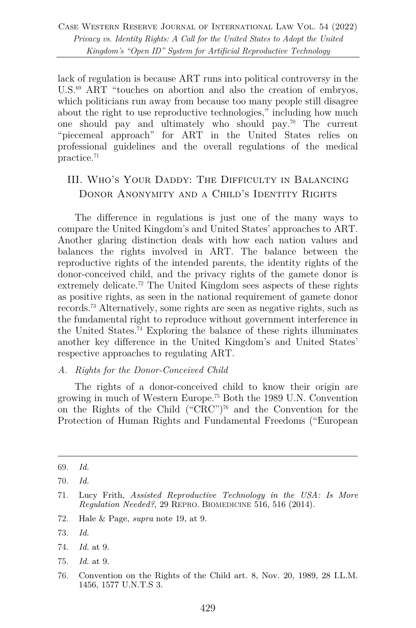lack of regulation is because ART runs into political controversy in the U.S.<sup>69</sup> ART "touches on abortion and also the creation of embryos, which politicians run away from because too many people still disagree about the right to use reproductive technologies," including how much one should pay and ultimately who should pay.70 The current "piecemeal approach" for ART in the United States relies on professional guidelines and the overall regulations of the medical practice.71

## III. Who's Your Daddy: The Difficulty in Balancing DONOR ANONYMITY AND A CHILD'S IDENTITY RIGHTS

The difference in regulations is just one of the many ways to compare the United Kingdom's and United States' approaches to ART. Another glaring distinction deals with how each nation values and balances the rights involved in ART. The balance between the reproductive rights of the intended parents, the identity rights of the donor-conceived child, and the privacy rights of the gamete donor is extremely delicate.<sup>72</sup> The United Kingdom sees aspects of these rights as positive rights, as seen in the national requirement of gamete donor records.73 Alternatively, some rights are seen as negative rights, such as the fundamental right to reproduce without government interference in the United States.74 Exploring the balance of these rights illuminates another key difference in the United Kingdom's and United States' respective approaches to regulating ART.

#### *A. Rights for the Donor-Conceived Child*

The rights of a donor-conceived child to know their origin are growing in much of Western Europe.75 Both the 1989 U.N. Convention on the Rights of the Child ("CRC")76 and the Convention for the Protection of Human Rights and Fundamental Freedoms ("European

- 72. Hale & Page, *supra* note 19, at 9.
- 73. *Id.*
- 74. *Id.* at 9.
- 75. *Id.* at 9.
- 76. Convention on the Rights of the Child art. 8, Nov. 20, 1989, 28 I.L.M. 1456, 1577 U.N.T.S 3.

<sup>69.</sup> *Id.*

<sup>70.</sup> *Id.*

<sup>71.</sup> Lucy Frith, *Assisted Reproductive Technology in the USA: Is More Regulation Needed?*, 29 REPRO. BIOMEDICINE 516, 516 (2014).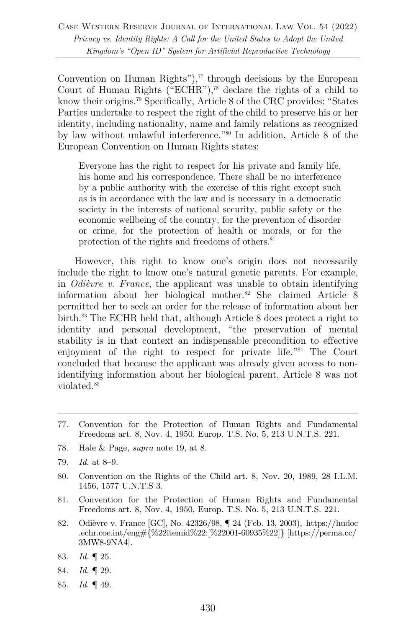Case Western Reserve Journal of International Law Vol. 54 (2022) *Privacy vs. Identity Rights: A Call for the United States to Adopt the United Kingdom's "Open ID" System for Artificial Reproductive Technology*

Convention on Human Rights"), <sup>77</sup> through decisions by the European Court of Human Rights ("ECHR"), <sup>78</sup> declare the rights of a child to know their origins. <sup>79</sup> Specifically, Article 8 of the CRC provides: "States Parties undertake to respect the right of the child to preserve his or her identity, including nationality, name and family relations as recognized by law without unlawful interference."80 In addition, Article 8 of the European Convention on Human Rights states:

Everyone has the right to respect for his private and family life, his home and his correspondence. There shall be no interference by a public authority with the exercise of this right except such as is in accordance with the law and is necessary in a democratic society in the interests of national security, public safety or the economic wellbeing of the country, for the prevention of disorder or crime, for the protection of health or morals, or for the protection of the rights and freedoms of others.<sup>81</sup>

However, this right to know one's origin does not necessarily include the right to know one's natural genetic parents. For example, in *Odièvre v. France*, the applicant was unable to obtain identifying information about her biological mother.82 She claimed Article 8 permitted her to seek an order for the release of information about her birth.83 The ECHR held that, although Article 8 does protect a right to identity and personal development, "the preservation of mental stability is in that context an indispensable precondition to effective enjoyment of the right to respect for private life."84 The Court concluded that because the applicant was already given access to nonidentifying information about her biological parent, Article 8 was not violated.85

- 77. Convention for the Protection of Human Rights and Fundamental Freedoms art. 8, Nov. 4, 1950, Europ. T.S. No. 5, 213 U.N.T.S. 221.
- 78. Hale & Page, *supra* note 19, at 8.
- 79. *Id.* at 8–9.
- 80. Convention on the Rights of the Child art. 8, Nov. 20, 1989, 28 I.L.M. 1456, 1577 U.N.T.S 3.
- 81. Convention for the Protection of Human Rights and Fundamental Freedoms art. 8, Nov. 4, 1950, Europ. T.S. No. 5, 213 U.N.T.S. 221.
- 82. Odièvre v. France [GC], No. 42326/98, ¶ 24 (Feb. 13, 2003), https://hudoc .echr.coe.int/eng#{%22itemid%22:[%22001-60935%22]} [https://perma.cc/ 3MW8-9NA4].
- 83. *Id.* ¶ 25.
- 84. *Id.* ¶ 29.
- 85. *Id.* ¶ 49.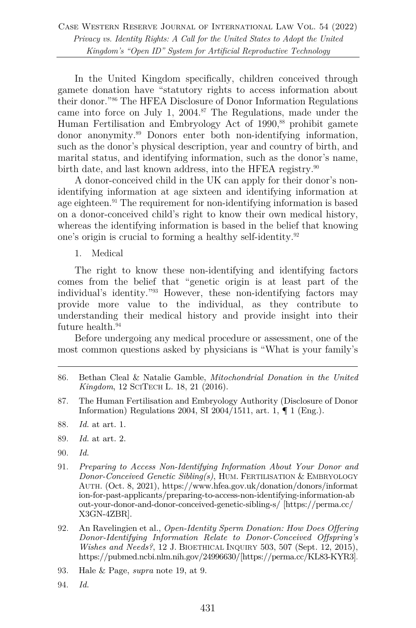In the United Kingdom specifically, children conceived through gamete donation have "statutory rights to access information about their donor."86 The HFEA Disclosure of Donor Information Regulations came into force on July 1, 2004.<sup>87</sup> The Regulations, made under the Human Fertilisation and Embryology Act of 1990, <sup>88</sup> prohibit gamete donor anonymity.89 Donors enter both non-identifying information, such as the donor's physical description, year and country of birth, and marital status, and identifying information, such as the donor's name, birth date, and last known address, into the HFEA registry.<sup>90</sup>

A donor-conceived child in the UK can apply for their donor's nonidentifying information at age sixteen and identifying information at age eighteen.<sup>91</sup> The requirement for non-identifying information is based on a donor-conceived child's right to know their own medical history, whereas the identifying information is based in the belief that knowing one's origin is crucial to forming a healthy self-identity.92

1. Medical

The right to know these non-identifying and identifying factors comes from the belief that "genetic origin is at least part of the individual's identity."93 However, these non-identifying factors may provide more value to the individual, as they contribute to understanding their medical history and provide insight into their future health.<sup>94</sup>

Before undergoing any medical procedure or assessment, one of the most common questions asked by physicians is "What is your family's

- 87. The Human Fertilisation and Embryology Authority (Disclosure of Donor Information) Regulations 2004, SI 2004/1511, art. 1,  $\P$  1 (Eng.).
- 88. *Id.* at art. 1.
- 89. *Id.* at art. 2.
- 90. *Id.*
- 91. *Preparing to Access Non-Identifying Information About Your Donor and Donor-Conceived Genetic Sibling(s)*, HUM. FERTILISATION & EMBRYOLOGY AUTH. (Oct. 8, 2021), https://www.hfea.gov.uk/donation/donors/informat ion-for-past-applicants/preparing-to-access-non-identifying-information-ab out-your-donor-and-donor-conceived-genetic-sibling-s/ [https://perma.cc/ X3GN-4ZBR].
- 92. An Ravelingien et al., *Open-Identity Sperm Donation: How Does Offering Donor-Identifying Information Relate to Donor-Conceived Offspring's Wishes and Needs?*, 12 J. BIOETHICAL INQUIRY 503, 507 (Sept. 12, 2015), https://pubmed.ncbi.nlm.nih.gov/24996630/[https://perma.cc/KL83-KYR3].
- 93. Hale & Page, *supra* note 19, at 9.
- 94. *Id.*

<sup>86.</sup> Bethan Cleal & Natalie Gamble, *Mitochondrial Donation in the United Kingdom*, 12 SCITECH L. 18, 21 (2016).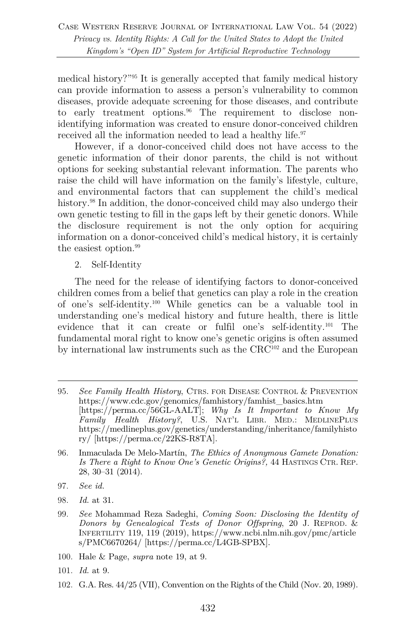medical history?"95 It is generally accepted that family medical history can provide information to assess a person's vulnerability to common diseases, provide adequate screening for those diseases, and contribute to early treatment options.<sup>96</sup> The requirement to disclose nonidentifying information was created to ensure donor-conceived children received all the information needed to lead a healthy life.<sup>97</sup>

However, if a donor-conceived child does not have access to the genetic information of their donor parents, the child is not without options for seeking substantial relevant information. The parents who raise the child will have information on the family's lifestyle, culture, and environmental factors that can supplement the child's medical history.<sup>98</sup> In addition, the donor-conceived child may also undergo their own genetic testing to fill in the gaps left by their genetic donors. While the disclosure requirement is not the only option for acquiring information on a donor-conceived child's medical history, it is certainly the easiest option. 99

2. Self-Identity

The need for the release of identifying factors to donor-conceived children comes from a belief that genetics can play a role in the creation of one's self-identity.100 While genetics can be a valuable tool in understanding one's medical history and future health, there is little evidence that it can create or fulfil one's self-identity.101 The fundamental moral right to know one's genetic origins is often assumed by international law instruments such as the CRC102 and the European

- 96. Inmaculada De Melo-Martín, *The Ethics of Anonymous Gamete Donation: Is There a Right to Know One's Genetic Origins?,* 44 HASTINGS CTR. REP. 28, 30–31 (2014).
- 97. *See id.*
- 98. *Id.* at 31.
- 99. *See* Mohammad Reza Sadeghi, *Coming Soon: Disclosing the Identity of Donors by Genealogical Tests of Donor Offspring*, 20 J. REPROD. & INFERTILITY 119, 119 (2019), https://www.ncbi.nlm.nih.gov/pmc/article s/PMC6670264/ [https://perma.cc/L4GB-SPBX].
- 100. Hale & Page, *supra* note 19, at 9.
- 101. *Id.* at 9.
- 102. G.A. Res. 44/25 (VII), Convention on the Rights of the Child (Nov. 20, 1989).

<sup>95.</sup> *See Family Health History*, CTRS. FOR DISEASE CONTROL & PREVENTION https://www.cdc.gov/genomics/famhistory/famhist\_basics.htm [https://perma.cc/56GL-AALT]; *Why Is It Important to Know My Family Health History?*, U.S. NAT'L LIBR. MED.: MEDLINEPLUS https://medlineplus.gov/genetics/understanding/inheritance/familyhisto ry/ [https://perma.cc/22KS-R8TA].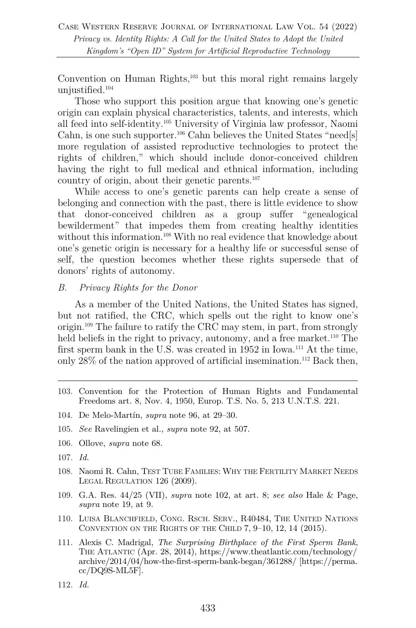Convention on Human Rights,<sup>103</sup> but this moral right remains largely unjustified.104

Those who support this position argue that knowing one's genetic origin can explain physical characteristics, talents, and interests, which all feed into self-identity.105 University of Virginia law professor, Naomi Cahn, is one such supporter.<sup>106</sup> Cahn believes the United States "need[s] more regulation of assisted reproductive technologies to protect the rights of children," which should include donor-conceived children having the right to full medical and ethnical information, including country of origin, about their genetic parents.107

While access to one's genetic parents can help create a sense of belonging and connection with the past, there is little evidence to show that donor-conceived children as a group suffer "genealogical bewilderment" that impedes them from creating healthy identities without this information.<sup>108</sup> With no real evidence that knowledge about one's genetic origin is necessary for a healthy life or successful sense of self, the question becomes whether these rights supersede that of donors' rights of autonomy.

#### *B. Privacy Rights for the Donor*

As a member of the United Nations, the United States has signed, but not ratified, the CRC, which spells out the right to know one's origin.109 The failure to ratify the CRC may stem, in part, from strongly held beliefs in the right to privacy, autonomy, and a free market.<sup>110</sup> The first sperm bank in the U.S. was created in 1952 in Iowa.<sup>111</sup> At the time, only  $28\%$  of the nation approved of artificial insemination.<sup>112</sup> Back then,

- 103. Convention for the Protection of Human Rights and Fundamental Freedoms art. 8, Nov. 4, 1950, Europ. T.S. No. 5, 213 U.N.T.S. 221.
- 104. De Melo-Martín, *supra* note 96, at 29–30.
- 105. *See* Ravelingien et al., *supra* note 92, at 507.
- 106. Ollove, *supra* note 68.
- 107. *Id.*
- 108. Naomi R. Cahn, TEST TUBE FAMILIES: WHY THE FERTILITY MARKET NEEDS LEGAL REGULATION 126 (2009).
- 109. G.A. Res. 44/25 (VII), *supra* note 102, at art. 8; *see also* Hale & Page, *supra* note 19, at 9.
- 110. LUISA BLANCHFIELD, CONG. RSCH. SERV., R40484, THE UNITED NATIONS CONVENTION ON THE RIGHTS OF THE CHILD 7, 9–10, 12, 14 (2015).
- 111. Alexis C. Madrigal, *The Surprising Birthplace of the First Sperm Bank*, THE ATLANTIC (Apr. 28, 2014), https://www.theatlantic.com/technology/ archive/2014/04/how-the-first-sperm-bank-began/361288/ [https://perma. cc/DQ9S-ML5F].
- 112. *Id.*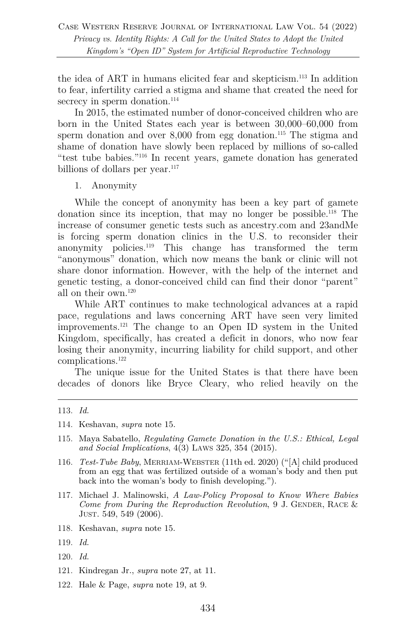the idea of ART in humans elicited fear and skepticism.113 In addition to fear, infertility carried a stigma and shame that created the need for secrecy in sperm donation.<sup>114</sup>

In 2015, the estimated number of donor-conceived children who are born in the United States each year is between 30,000–60,000 from sperm donation and over  $8,000$  from egg donation.<sup>115</sup> The stigma and shame of donation have slowly been replaced by millions of so-called "test tube babies."116 In recent years, gamete donation has generated billions of dollars per year.<sup>117</sup>

1. Anonymity

While the concept of anonymity has been a key part of gamete donation since its inception, that may no longer be possible.118 The increase of consumer genetic tests such as ancestry.com and 23andMe is forcing sperm donation clinics in the U.S. to reconsider their anonymity policies.119 This change has transformed the term "anonymous" donation, which now means the bank or clinic will not share donor information. However, with the help of the internet and genetic testing, a donor-conceived child can find their donor "parent" all on their own.120

While ART continues to make technological advances at a rapid pace, regulations and laws concerning ART have seen very limited improvements.121 The change to an Open ID system in the United Kingdom, specifically, has created a deficit in donors, who now fear losing their anonymity, incurring liability for child support, and other complications.122

The unique issue for the United States is that there have been decades of donors like Bryce Cleary, who relied heavily on the

- 114. Keshavan, *supra* note 15.
- 115. Maya Sabatello, *Regulating Gamete Donation in the U.S.: Ethical, Legal and Social Implications*, 4(3) LAWS 325, 354 (2015).
- 116. *Test-Tube Baby*, MERRIAM-WEBSTER (11th ed. 2020) ("[A] child produced from an egg that was fertilized outside of a woman's body and then put back into the woman's body to finish developing.").
- 117. Michael J. Malinowski, *A Law-Policy Proposal to Know Where Babies Come from During the Reproduction Revolution*, 9 J. GENDER, RACE & JUST. 549, 549 (2006).
- 118. Keshavan, *supra* note 15.
- 119. *Id.*
- 120. *Id.*
- 121. Kindregan Jr., *supra* note 27, at 11.
- 122. Hale & Page, *supra* note 19, at 9.

<sup>113.</sup> *Id.*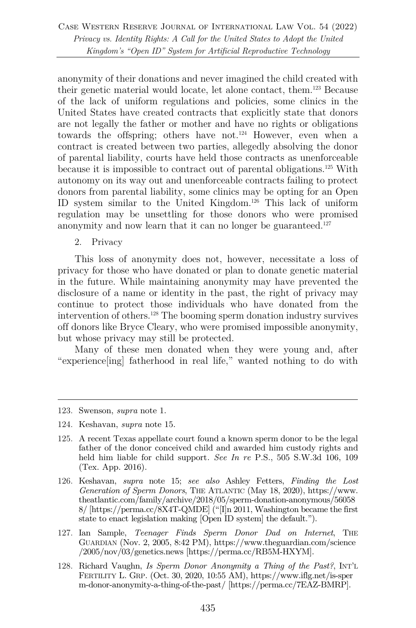Case Western Reserve Journal of International Law Vol. 54 (2022) *Privacy vs. Identity Rights: A Call for the United States to Adopt the United Kingdom's "Open ID" System for Artificial Reproductive Technology*

anonymity of their donations and never imagined the child created with their genetic material would locate, let alone contact, them.123 Because of the lack of uniform regulations and policies, some clinics in the United States have created contracts that explicitly state that donors are not legally the father or mother and have no rights or obligations towards the offspring; others have not.<sup>124</sup> However, even when a contract is created between two parties, allegedly absolving the donor of parental liability, courts have held those contracts as unenforceable because it is impossible to contract out of parental obligations. <sup>125</sup> With autonomy on its way out and unenforceable contracts failing to protect donors from parental liability, some clinics may be opting for an Open ID system similar to the United Kingdom.126 This lack of uniform regulation may be unsettling for those donors who were promised anonymity and now learn that it can no longer be guaranteed.<sup>127</sup>

2. Privacy

This loss of anonymity does not, however, necessitate a loss of privacy for those who have donated or plan to donate genetic material in the future. While maintaining anonymity may have prevented the disclosure of a name or identity in the past, the right of privacy may continue to protect those individuals who have donated from the intervention of others.128 The booming sperm donation industry survives off donors like Bryce Cleary, who were promised impossible anonymity, but whose privacy may still be protected.

Many of these men donated when they were young and, after "experience[ing] fatherhood in real life," wanted nothing to do with

- 124. Keshavan, *supra* note 15.
- 125. A recent Texas appellate court found a known sperm donor to be the legal father of the donor conceived child and awarded him custody rights and held him liable for child support*. See In re* P.S., 505 S.W.3d 106, 109 (Tex. App. 2016).
- 126. Keshavan, *supra* note 15; *see also* Ashley Fetters, *Finding the Lost Generation of Sperm Donors*, THE ATLANTIC (May 18, 2020), https://www. theatlantic.com/family/archive/2018/05/sperm-donation-anonymous/56058 8/ [https://perma.cc/8X4T-QMDE] ("[I]n 2011, Washington became the first state to enact legislation making [Open ID system] the default.").
- 127. Ian Sample, *Teenager Finds Sperm Donor Dad on Internet*, THE GUARDIAN (Nov. 2, 2005, 8:42 PM), https://www.theguardian.com/science /2005/nov/03/genetics.news [https://perma.cc/RB5M-HXYM].
- 128. Richard Vaughn, *Is Sperm Donor Anonymity a Thing of the Past?*, INT'L FERTILITY L. GRP. (Oct. 30, 2020, 10:55 AM), https://www.iflg.net/is-sper m-donor-anonymity-a-thing-of-the-past/ [https://perma.cc/7EAZ-BMRP].

<sup>123.</sup> Swenson, *supra* note 1.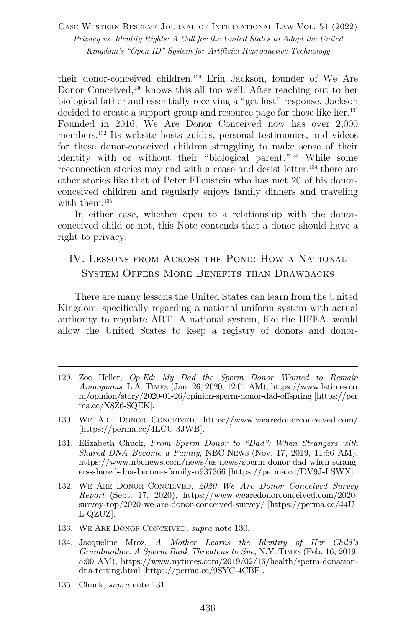their donor-conceived children.129 Erin Jackson, founder of We Are Donor Conceived,<sup>130</sup> knows this all too well. After reaching out to her biological father and essentially receiving a "get lost" response, Jackson decided to create a support group and resource page for those like her.<sup>131</sup> Founded in 2016, We Are Donor Conceived now has over 2,000 members.132 Its website hosts guides, personal testimonies, and videos for those donor-conceived children struggling to make sense of their identity with or without their "biological parent."133 While some reconnection stories may end with a cease-and-desist letter,<sup>134</sup> there are other stories like that of Peter Ellenstein who has met 20 of his donorconceived children and regularly enjoys family dinners and traveling with them.<sup>135</sup>

In either case, whether open to a relationship with the donorconceived child or not, this Note contends that a donor should have a right to privacy.

### IV. Lessons from Across the Pond: How a National System Offers More Benefits than Drawbacks

There are many lessons the United States can learn from the United Kingdom, specifically regarding a national uniform system with actual authority to regulate ART. A national system, like the HFEA, would allow the United States to keep a registry of donors and donor-

- 129. Zoe Heller, *Op-Ed: My Dad the Sperm Donor Wanted to Remain Anonymous*, L.A. TIMES (Jan. 26, 2020, 12:01 AM), https://www.latimes.co m/opinion/story/2020-01-26/opinion-sperm-donor-dad-offspring [https://per ma.cc/X8Z6-SQEK].
- 130. WE ARE DONOR CONCEIVED, https://www.wearedonorconceived.com/ [https://perma.cc/4LCU-3JWB].
- 131. Elizabeth Chuck, *From Sperm Donor to "Dad": When Strangers with Shared DNA Become a Family*, NBC NEWS (Nov. 17, 2019, 11:56 AM), https://www.nbcnews.com/news/us-news/sperm-donor-dad-when-strang ers-shared-dna-become-family-n937366 [https://perma.cc/DV9J-LSWX].
- 132. WE ARE DONOR CONCEIVED, *2020 We Are Donor Conceived Survey Report* (Sept. 17, 2020), https://www.wearedonorconceived.com/2020 survey-top/2020-we-are-donor-conceived-survey/ [https://perma.cc/44U L-QZUZ].
- 133. WE ARE DONOR CONCEIVED, *supra* note 130.
- 134. Jacqueline Mroz, *A Mother Learns the Identity of Her Child's Grandmother. A Sperm Bank Threatens to Sue*, N.Y. TIMES (Feb. 16, 2019, 5:00 AM), https://www.nytimes.com/2019/02/16/health/sperm-donationdna-testing.html [https://perma.cc/9SYC-4CBF].
- 135. Chuck, *supra* note 131.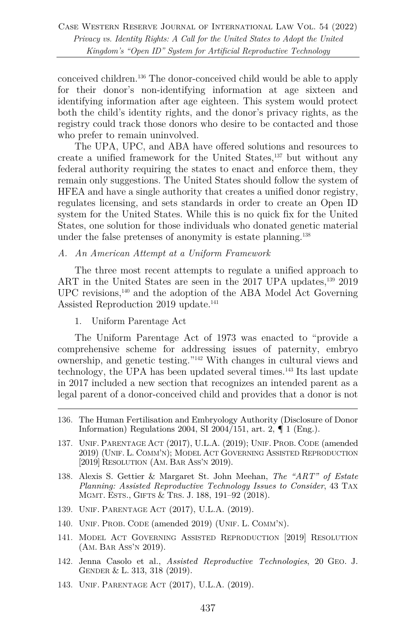conceived children.<sup>136</sup> The donor-conceived child would be able to apply for their donor's non-identifying information at age sixteen and identifying information after age eighteen. This system would protect both the child's identity rights, and the donor's privacy rights, as the registry could track those donors who desire to be contacted and those who prefer to remain uninvolved.

The UPA, UPC, and ABA have offered solutions and resources to create a unified framework for the United States,137 but without any federal authority requiring the states to enact and enforce them, they remain only suggestions. The United States should follow the system of HFEA and have a single authority that creates a unified donor registry, regulates licensing, and sets standards in order to create an Open ID system for the United States. While this is no quick fix for the United States, one solution for those individuals who donated genetic material under the false pretenses of anonymity is estate planning.<sup>138</sup>

*A. An American Attempt at a Uniform Framework*

The three most recent attempts to regulate a unified approach to ART in the United States are seen in the 2017 UPA updates,<sup>139</sup> 2019 UPC revisions,140 and the adoption of the ABA Model Act Governing Assisted Reproduction 2019 update. 141

1. Uniform Parentage Act

The Uniform Parentage Act of 1973 was enacted to "provide a comprehensive scheme for addressing issues of paternity, embryo ownership, and genetic testing."142 With changes in cultural views and technology, the UPA has been updated several times.143 Its last update in 2017 included a new section that recognizes an intended parent as a legal parent of a donor-conceived child and provides that a donor is not

- 136. The Human Fertilisation and Embryology Authority (Disclosure of Donor Information) Regulations 2004, SI 2004/151, art. 2, ¶ 1 (Eng.).
- 137. UNIF. PARENTAGE ACT (2017), U.L.A. (2019); UNIF. PROB. CODE (amended 2019) (UNIF. L. COMM'N); MODEL ACT GOVERNING ASSISTED REPRODUCTION [2019] RESOLUTION (AM. BAR ASS'N 2019).
- 138. Alexis S. Gettier & Margaret St. John Meehan, *The "ART" of Estate Planning: Assisted Reproductive Technology Issues to Consider*, 43 TAX MGMT. ESTS., GIFTS & TRS. J. 188, 191–92 (2018).
- 139. UNIF. PARENTAGE ACT (2017), U.L.A. (2019).
- 140. UNIF. PROB. CODE (amended 2019) (UNIF. L. COMM'N).
- 141. MODEL ACT GOVERNING ASSISTED REPRODUCTION [2019] RESOLUTION (AM. BAR ASS'N 2019).
- 142. Jenna Casolo et al., *Assisted Reproductive Technologies*, 20 GEO. J. GENDER & L. 313, 318 (2019).
- 143. UNIF. PARENTAGE ACT (2017), U.L.A. (2019).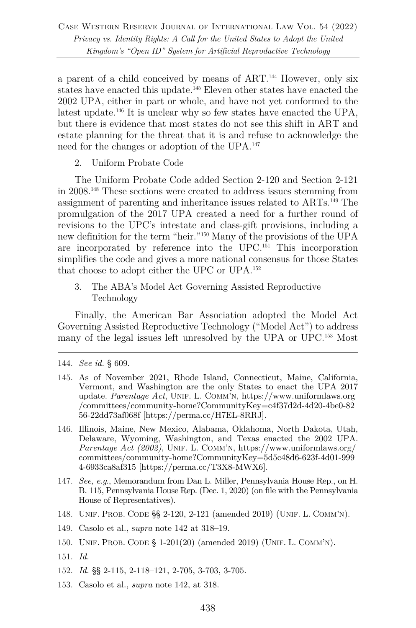a parent of a child conceived by means of ART.144 However, only six states have enacted this update.145 Eleven other states have enacted the 2002 UPA, either in part or whole, and have not yet conformed to the latest update.<sup>146</sup> It is unclear why so few states have enacted the UPA, but there is evidence that most states do not see this shift in ART and estate planning for the threat that it is and refuse to acknowledge the need for the changes or adoption of the UPA.147

2. Uniform Probate Code

The Uniform Probate Code added Section 2-120 and Section 2-121 in 2008.148 These sections were created to address issues stemming from assignment of parenting and inheritance issues related to ARTs.149 The promulgation of the 2017 UPA created a need for a further round of revisions to the UPC's intestate and class-gift provisions, including a new definition for the term "heir."150 Many of the provisions of the UPA are incorporated by reference into the UPC. <sup>151</sup> This incorporation simplifies the code and gives a more national consensus for those States that choose to adopt either the UPC or UPA. 152

3. The ABA's Model Act Governing Assisted Reproductive Technology

Finally, the American Bar Association adopted the Model Act Governing Assisted Reproductive Technology ("Model Act") to address many of the legal issues left unresolved by the UPA or UPC.153 Most

- 145. As of November 2021, Rhode Island, Connecticut, Maine, California, Vermont, and Washington are the only States to enact the UPA 2017 update. *Parentage Act*, UNIF. L. COMM'N, https://www.uniformlaws.org /committees/community-home?CommunityKey=c4f37d2d-4d20-4be0-82 56-22dd73af068f [https://perma.cc/H7EL-8RRJ].
- 146. Illinois, Maine, New Mexico, Alabama, Oklahoma, North Dakota, Utah, Delaware, Wyoming, Washington, and Texas enacted the 2002 UPA. *Parentage Act (2002)*, UNIF. L. COMM'N, https://www.uniformlaws.org/ committees/community-home?CommunityKey=5d5c48d6-623f-4d01-999 4-6933ca8af315 [https://perma.cc/T3X8-MWX6].
- 147. *See, e.g*., Memorandum from Dan L. Miller, Pennsylvania House Rep., on H. B. 115, Pennsylvania House Rep. (Dec. 1, 2020) (on file with the Pennsylvania House of Representatives).
- 148. UNIF. PROB. CODE §§ 2-120, 2-121 (amended 2019) (UNIF. L. COMM'N).
- 149. Casolo et al., s*upra* note 142 at 318–19.
- 150. UNIF. PROB. CODE § 1-201(20) (amended 2019) (UNIF. L. COMM'N).
- 151. *Id.*
- 152. *Id.* §§ 2-115, 2-118–121, 2-705, 3-703, 3-705.
- 153. Casolo et al., *supra* note 142, at 318.

<sup>144.</sup> *See id.* § 609.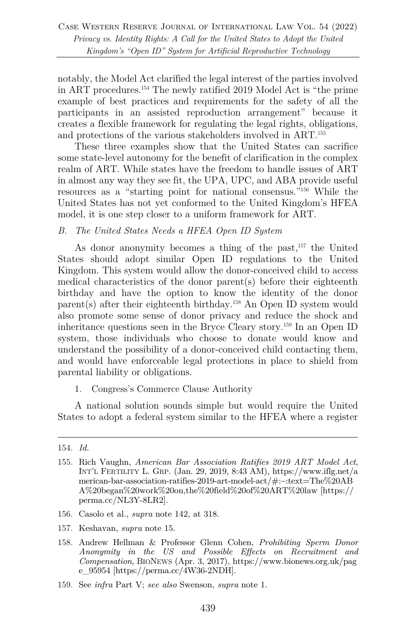notably, the Model Act clarified the legal interest of the parties involved in ART procedures.154 The newly ratified 2019 Model Act is "the prime example of best practices and requirements for the safety of all the participants in an assisted reproduction arrangement" because it creates a flexible framework for regulating the legal rights, obligations, and protections of the various stakeholders involved in ART.155

These three examples show that the United States can sacrifice some state-level autonomy for the benefit of clarification in the complex realm of ART. While states have the freedom to handle issues of ART in almost any way they see fit, the UPA, UPC, and ABA provide useful resources as a "starting point for national consensus."156 While the United States has not yet conformed to the United Kingdom's HFEA model, it is one step closer to a uniform framework for ART.

#### *B. The United States Needs a HFEA Open ID System*

As donor anonymity becomes a thing of the past,<sup>157</sup> the United States should adopt similar Open ID regulations to the United Kingdom. This system would allow the donor-conceived child to access medical characteristics of the donor parent(s) before their eighteenth birthday and have the option to know the identity of the donor parent(s) after their eighteenth birthday.158 An Open ID system would also promote some sense of donor privacy and reduce the shock and inheritance questions seen in the Bryce Cleary story.159 In an Open ID system, those individuals who choose to donate would know and understand the possibility of a donor-conceived child contacting them, and would have enforceable legal protections in place to shield from parental liability or obligations.

1. Congress's Commerce Clause Authority

A national solution sounds simple but would require the United States to adopt a federal system similar to the HFEA where a register

- 156. Casolo et al., *supra* note 142, at 318.
- 157. Keshavan, *supra* note 15.
- 158. Andrew Hellman & Professor Glenn Cohen, *Prohibiting Sperm Donor Anonymity in the US and Possible Effects on Recruitment and Compensation*, BIONEWS (Apr. 3, 2017), https://www.bionews.org.uk/pag e\_95954 [https://perma.cc/4W36-2NDH].
- 159. See *infra* Part V; *see also* Swenson, *supra* note 1.

<sup>154.</sup> *Id.*

<sup>155.</sup> Rich Vaughn, *American Bar Association Ratifies 2019 ART Model Act*, INT'L FERTILITY L. GRP. (Jan. 29, 2019, 8:43 AM), https://www.iflg.net/a merican-bar-association-ratifies-2019-art-model-act/#:~:text=The%20AB A%20began%20work%20on,the%20field%20of%20ART%20law [https:// perma.cc/NL3Y-8LR2].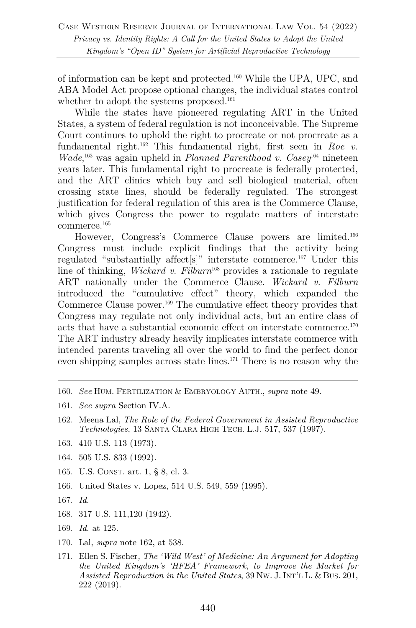of information can be kept and protected.160 While the UPA, UPC, and ABA Model Act propose optional changes, the individual states control whether to adopt the systems proposed.<sup>161</sup>

While the states have pioneered regulating ART in the United States, a system of federal regulation is not inconceivable. The Supreme Court continues to uphold the right to procreate or not procreate as a fundamental right.162 This fundamental right, first seen in *Roe v. Wade*,<sup>163</sup> was again upheld in *Planned Parenthood v. Casey*<sup>164</sup> nineteen years later. This fundamental right to procreate is federally protected, and the ART clinics which buy and sell biological material, often crossing state lines, should be federally regulated. The strongest justification for federal regulation of this area is the Commerce Clause, which gives Congress the power to regulate matters of interstate commerce. 165

However, Congress's Commerce Clause powers are limited. 166 Congress must include explicit findings that the activity being regulated "substantially affect<sup>[s]"</sup> interstate commerce.<sup>167</sup> Under this line of thinking, *Wickard v. Filburn*<sup>168</sup> provides a rationale to regulate ART nationally under the Commerce Clause. *Wickard v. Filburn* introduced the "cumulative effect" theory, which expanded the Commerce Clause power.<sup>169</sup> The cumulative effect theory provides that Congress may regulate not only individual acts, but an entire class of acts that have a substantial economic effect on interstate commerce.170 The ART industry already heavily implicates interstate commerce with intended parents traveling all over the world to find the perfect donor even shipping samples across state lines.171 There is no reason why the

- 160. *See* HUM. FERTILIZATION & EMBRYOLOGY AUTH., *supra* note 49.
- 161. *See supra* Section IV.A.
- 162. Meena Lal, *The Role of the Federal Government in Assisted Reproductive Technologies*, 13 SANTA CLARA HIGH TECH. L.J. 517, 537 (1997).
- 163. 410 U.S. 113 (1973).
- 164. 505 U.S. 833 (1992).
- 165. U.S. CONST. art. 1, § 8, cl. 3.
- 166. United States v. Lopez, 514 U.S. 549, 559 (1995).
- 167. *Id.*
- 168. 317 U.S. 111,120 (1942).
- 169. *Id.* at 125.
- 170. Lal, *supra* note 162, at 538.
- 171. Ellen S. Fischer*, The 'Wild West' of Medicine: An Argument for Adopting the United Kingdom's 'HFEA' Framework, to Improve the Market for Assisted Reproduction in the United States*, 39 NW. J. INT'L L. & BUS. 201, 222 (2019).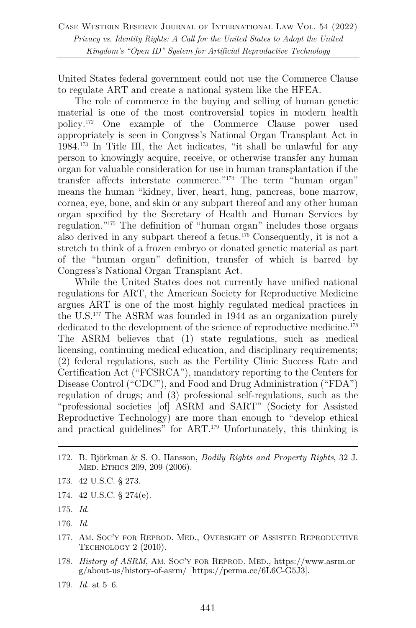United States federal government could not use the Commerce Clause to regulate ART and create a national system like the HFEA.

The role of commerce in the buying and selling of human genetic material is one of the most controversial topics in modern health policy. <sup>172</sup> One example of the Commerce Clause power used appropriately is seen in Congress's National Organ Transplant Act in 1984.173 In Title III, the Act indicates, "it shall be unlawful for any person to knowingly acquire, receive, or otherwise transfer any human organ for valuable consideration for use in human transplantation if the transfer affects interstate commerce."174 The term "human organ" means the human "kidney, liver, heart, lung, pancreas, bone marrow, cornea, eye, bone, and skin or any subpart thereof and any other human organ specified by the Secretary of Health and Human Services by regulation."175 The definition of "human organ" includes those organs also derived in any subpart thereof a fetus.176 Consequently, it is not a stretch to think of a frozen embryo or donated genetic material as part of the "human organ" definition, transfer of which is barred by Congress's National Organ Transplant Act.

While the United States does not currently have unified national regulations for ART, the American Society for Reproductive Medicine argues ART is one of the most highly regulated medical practices in the U.S.177 The ASRM was founded in 1944 as an organization purely dedicated to the development of the science of reproductive medicine.<sup>178</sup> The ASRM believes that (1) state regulations, such as medical licensing, continuing medical education, and disciplinary requirements; (2) federal regulations, such as the Fertility Clinic Success Rate and Certification Act ("FCSRCA"), mandatory reporting to the Centers for Disease Control ("CDC"), and Food and Drug Administration ("FDA") regulation of drugs; and (3) professional self-regulations, such as the "professional societies [of] ASRM and SART" (Society for Assisted Reproductive Technology) are more than enough to "develop ethical and practical guidelines" for ART.<sup>179</sup> Unfortunately, this thinking is

- 172. B. Björkman & S. O. Hansson, *Bodily Rights and Property Rights*, 32 J. MED. ETHICS 209, 209 (2006).
- 173. 42 U.S.C. § 273.
- 174. 42 U.S.C. § 274(e).
- 175. *Id.*
- 176. *Id.*
- 177. AM. SOC'Y FOR REPROD. MED., OVERSIGHT OF ASSISTED REPRODUCTIVE TECHNOLOGY 2 (2010).
- 178. *History of ASRM*, AM. SOC'Y FOR REPROD. MED., https://www.asrm.or g/about-us/history-of-asrm/ [https://perma.cc/6L6C-G5J3].
- 179. *Id.* at 5–6.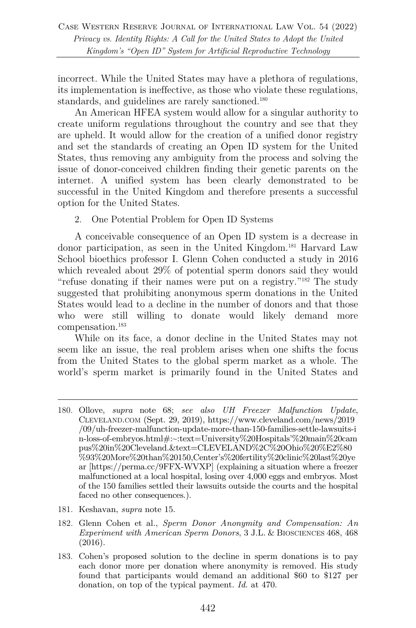incorrect. While the United States may have a plethora of regulations, its implementation is ineffective, as those who violate these regulations, standards, and guidelines are rarely sanctioned.<sup>180</sup>

An American HFEA system would allow for a singular authority to create uniform regulations throughout the country and see that they are upheld. It would allow for the creation of a unified donor registry and set the standards of creating an Open ID system for the United States, thus removing any ambiguity from the process and solving the issue of donor-conceived children finding their genetic parents on the internet. A unified system has been clearly demonstrated to be successful in the United Kingdom and therefore presents a successful option for the United States.

2. One Potential Problem for Open ID Systems

A conceivable consequence of an Open ID system is a decrease in donor participation, as seen in the United Kingdom.<sup>181</sup> Harvard Law School bioethics professor I. Glenn Cohen conducted a study in 2016 which revealed about 29% of potential sperm donors said they would "refuse donating if their names were put on a registry."182 The study suggested that prohibiting anonymous sperm donations in the United States would lead to a decline in the number of donors and that those who were still willing to donate would likely demand more compensation.183

While on its face, a donor decline in the United States may not seem like an issue, the real problem arises when one shifts the focus from the United States to the global sperm market as a whole. The world's sperm market is primarily found in the United States and

181. Keshavan, *supra* note 15.

<sup>180.</sup> Ollove, *supra* note 68; *see also UH Freezer Malfunction Update*, CLEVELAND.COM (Sept. 29, 2019), https://www.cleveland.com/news/2019 /09/uh-freezer-malfunction-update-more-than-150-families-settle-lawsuits-i n-loss-of-embryos.html#:~:text=University%20Hospitals'%20main%20cam pus%20in%20Cleveland.&text=CLEVELAND%2C%20Ohio%20%E2%80 %93%20More%20than%20150,Center's%20fertility%20clinic%20last%20ye ar [https://perma.cc/9FFX-WVXP] (explaining a situation where a freezer malfunctioned at a local hospital, losing over 4,000 eggs and embryos. Most of the 150 families settled their lawsuits outside the courts and the hospital faced no other consequences.).

<sup>182.</sup> Glenn Cohen et al., *Sperm Donor Anonymity and Compensation: An Experiment with American Sperm Donors*, 3 J.L. & BIOSCIENCES 468, 468 (2016).

<sup>183.</sup> Cohen's proposed solution to the decline in sperm donations is to pay each donor more per donation where anonymity is removed. His study found that participants would demand an additional \$60 to \$127 per donation, on top of the typical payment. *Id.* at 470.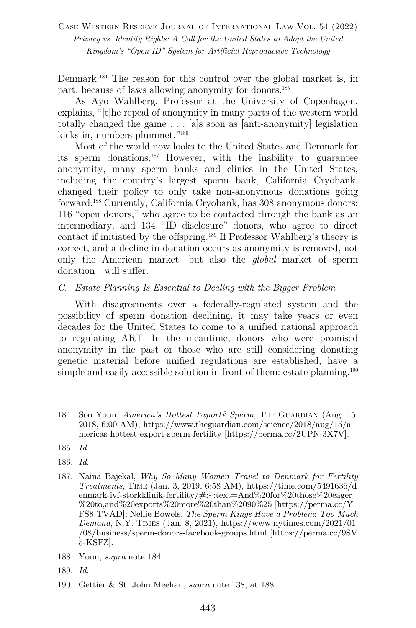Denmark.184 The reason for this control over the global market is, in part, because of laws allowing anonymity for donors.185

As Ayo Wahlberg, Professor at the University of Copenhagen, explains, "[t]he repeal of anonymity in many parts of the western world totally changed the game . . . [a]s soon as [anti-anonymity] legislation kicks in, numbers plummet."186

Most of the world now looks to the United States and Denmark for its sperm donations.187 However, with the inability to guarantee anonymity, many sperm banks and clinics in the United States, including the country's largest sperm bank, California Cryobank, changed their policy to only take non-anonymous donations going forward.188 Currently, California Cryobank, has 308 anonymous donors: 116 "open donors," who agree to be contacted through the bank as an intermediary, and 134 "ID disclosure" donors, who agree to direct contact if initiated by the offspring.189 If Professor Wahlberg's theory is correct, and a decline in donation occurs as anonymity is removed, not only the American market—but also the *global* market of sperm donation—will suffer.

#### *C. Estate Planning Is Essential to Dealing with the Bigger Problem*

With disagreements over a federally-regulated system and the possibility of sperm donation declining, it may take years or even decades for the United States to come to a unified national approach to regulating ART. In the meantime, donors who were promised anonymity in the past or those who are still considering donating genetic material before unified regulations are established, have a simple and easily accessible solution in front of them: estate planning.<sup>190</sup>

- 186. *Id.*
- 187. Naina Bajekal, *Why So Many Women Travel to Denmark for Fertility Treatments*, TIME (Jan. 3, 2019, 6:58 AM), https://time.com/5491636/d enmark-ivf-storkklinik-fertility/#:~:text=And%20for%20those%20eager %20to,and%20exports%20more%20than%2090%25 [https://perma.cc/Y FS8-TVAD]; Nellie Bowels, *The Sperm Kings Have a Problem*: *Too Much Demand*, N.Y. TIMES (Jan. 8, 2021), https://www.nytimes.com/2021/01 /08/business/sperm-donors-facebook-groups.html [https://perma.cc/9SV 5-KSFZ].
- 188. Youn, *supra* note 184.
- 189. *Id.*
- 190. Gettier & St. John Meehan, *supra* note 138, at 188.

<sup>184.</sup> Soo Youn, *America's Hottest Export? Sperm*, THE GUARDIAN (Aug. 15, 2018, 6:00 AM), https://www.theguardian.com/science/2018/aug/15/a mericas-hottest-export-sperm-fertility [https://perma.cc/2UPN-3X7V].

<sup>185.</sup> *Id.*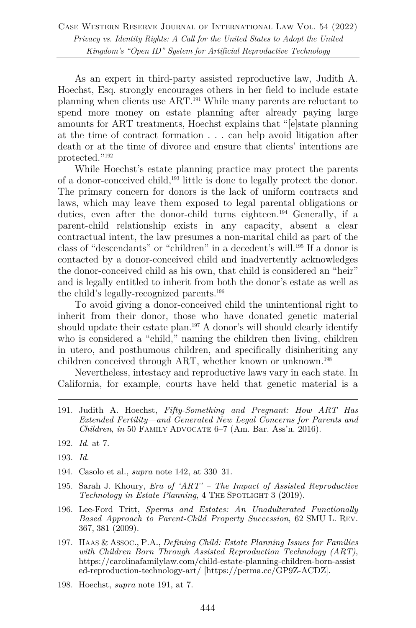As an expert in third-party assisted reproductive law, Judith A. Hoechst, Esq. strongly encourages others in her field to include estate planning when clients use ART.191 While many parents are reluctant to spend more money on estate planning after already paying large amounts for ART treatments, Hoechst explains that "[e]state planning at the time of contract formation . . . can help avoid litigation after death or at the time of divorce and ensure that clients' intentions are protected."192

While Hoechst's estate planning practice may protect the parents of a donor-conceived child,193 little is done to legally protect the donor. The primary concern for donors is the lack of uniform contracts and laws, which may leave them exposed to legal parental obligations or duties, even after the donor-child turns eighteen.<sup>194</sup> Generally, if a parent-child relationship exists in any capacity, absent a clear contractual intent, the law presumes a non-marital child as part of the class of "descendants" or "children" in a decedent's will.195 If a donor is contacted by a donor-conceived child and inadvertently acknowledges the donor-conceived child as his own, that child is considered an "heir" and is legally entitled to inherit from both the donor's estate as well as the child's legally-recognized parents.196

To avoid giving a donor-conceived child the unintentional right to inherit from their donor, those who have donated genetic material should update their estate plan.<sup>197</sup> A donor's will should clearly identify who is considered a "child," naming the children then living, children in utero, and posthumous children, and specifically disinheriting any children conceived through ART, whether known or unknown.<sup>198</sup>

Nevertheless, intestacy and reproductive laws vary in each state. In California, for example, courts have held that genetic material is a

- 191. Judith A. Hoechst, *Fifty-Something and Pregnant: How ART Has Extended Fertility—and Generated New Legal Concerns for Parents and Children*, *in* 50 FAMILY ADVOCATE 6–7 (Am. Bar. Ass'n. 2016).
- 192. *Id.* at 7.
- 193. *Id.*
- 194. Casolo et al., *supra* note 142, at 330–31.
- 195. Sarah J. Khoury, *Era of 'ART' – The Impact of Assisted Reproductive Technology in Estate Planning*, 4 THE SPOTLIGHT 3 (2019).
- 196. Lee-Ford Tritt, *Sperms and Estates: An Unadulterated Functionally Based Approach to Parent-Child Property Succession*, 62 SMU L. REV. 367, 381 (2009).
- 197. HAAS & ASSOC., P.A., *Defining Child: Estate Planning Issues for Families with Children Born Through Assisted Reproduction Technology (ART)*, https://carolinafamilylaw.com/child-estate-planning-children-born-assist ed-reproduction-technology-art/ [https://perma.cc/GP9Z-ACDZ].
- 198. Hoechst, *supra* note 191, at 7.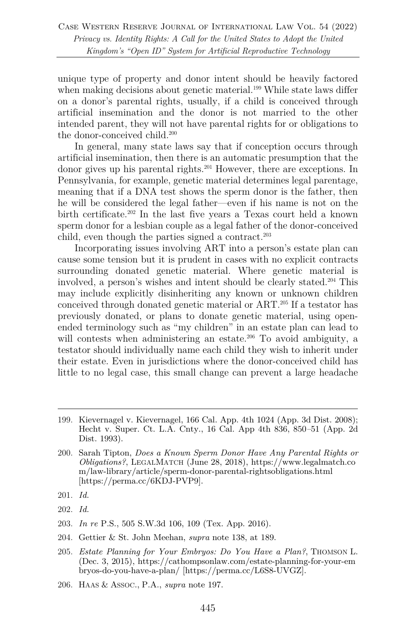unique type of property and donor intent should be heavily factored when making decisions about genetic material.<sup>199</sup> While state laws differ on a donor's parental rights, usually, if a child is conceived through artificial insemination and the donor is not married to the other intended parent, they will not have parental rights for or obligations to the donor-conceived child.<sup>200</sup>

In general, many state laws say that if conception occurs through artificial insemination, then there is an automatic presumption that the donor gives up his parental rights.201 However, there are exceptions. In Pennsylvania, for example, genetic material determines legal parentage, meaning that if a DNA test shows the sperm donor is the father, then he will be considered the legal father—even if his name is not on the birth certificate.<sup>202</sup> In the last five years a Texas court held a known sperm donor for a lesbian couple as a legal father of the donor-conceived child, even though the parties signed a contract.<sup>203</sup>

Incorporating issues involving ART into a person's estate plan can cause some tension but it is prudent in cases with no explicit contracts surrounding donated genetic material. Where genetic material is involved, a person's wishes and intent should be clearly stated.204 This may include explicitly disinheriting any known or unknown children conceived through donated genetic material or ART.205 If a testator has previously donated, or plans to donate genetic material, using openended terminology such as "my children" in an estate plan can lead to will contests when administering an estate.<sup>206</sup> To avoid ambiguity, a testator should individually name each child they wish to inherit under their estate. Even in jurisdictions where the donor-conceived child has little to no legal case, this small change can prevent a large headache

- 202. *Id.*
- 203. *In re* P.S., 505 S.W.3d 106, 109 (Tex. App. 2016).
- 204. Gettier & St. John Meehan, *supra* note 138, at 189.
- 205. *Estate Planning for Your Embryos: Do You Have a Plan?*, THOMSON L. (Dec. 3, 2015), https://cathompsonlaw.com/estate-planning-for-your-em bryos-do-you-have-a-plan/ [https://perma.cc/L6S8-UVGZ].
- 206. HAAS & ASSOC., P.A., *supra* note 197.

<sup>199.</sup> Kievernagel v. Kievernagel, 166 Cal. App. 4th 1024 (App. 3d Dist. 2008); Hecht v. Super. Ct. L.A. Cnty., 16 Cal. App 4th 836, 850*–*51 (App. 2d Dist. 1993).

<sup>200.</sup> Sarah Tipton, *Does a Known Sperm Donor Have Any Parental Rights or Obligations?*, LEGALMATCH (June 28, 2018), https://www.legalmatch.co m/law-library/article/sperm-donor-parental-rightsobligations.html [https://perma.cc/6KDJ-PVP9].

<sup>201.</sup> *Id.*